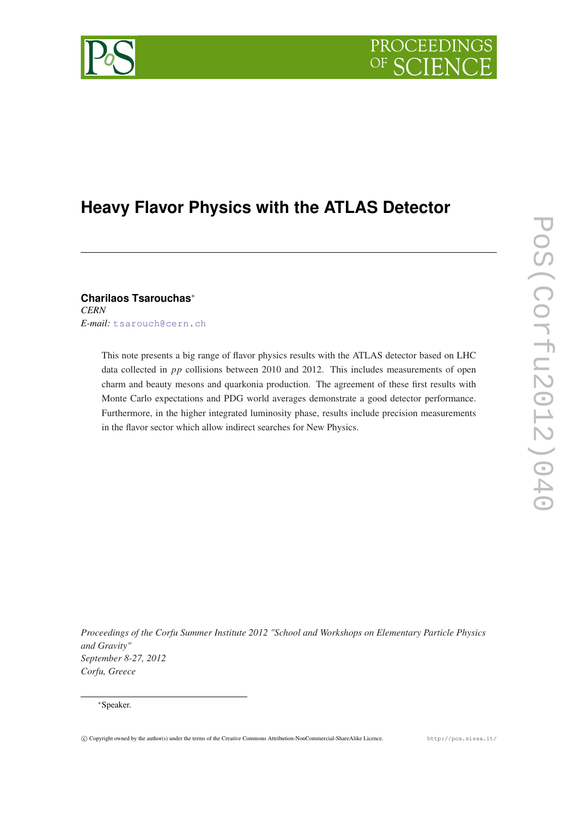# PROCEEDING

## **Heavy Flavor Physics with the ATLAS Detector**

**Charilaos Tsarouchas**<sup>∗</sup> *CERN E-mail:* [tsarouch@cern.ch](mailto:tsarouch@cern.ch)

> This note presents a big range of flavor physics results with the ATLAS detector based on LHC data collected in *pp* collisions between 2010 and 2012. This includes measurements of open charm and beauty mesons and quarkonia production. The agreement of these first results with Monte Carlo expectations and PDG world averages demonstrate a good detector performance. Furthermore, in the higher integrated luminosity phase, results include precision measurements in the flavor sector which allow indirect searches for New Physics.

*Proceedings of the Corfu Summer Institute 2012 "School and Workshops on Elementary Particle Physics and Gravity" September 8-27, 2012 Corfu, Greece*

#### <sup>∗</sup>Speaker.

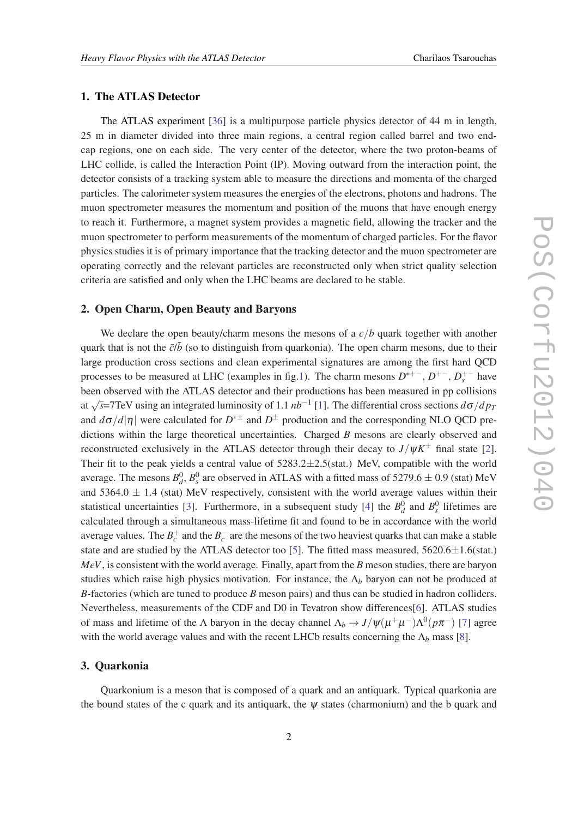#### 1. The ATLAS Detector

The ATLAS experiment [\[36](#page-8-0)] is a multipurpose particle physics detector of 44 m in length, 25 m in diameter divided into three main regions, a central region called barrel and two endcap regions, one on each side. The very center of the detector, where the two proton-beams of LHC collide, is called the Interaction Point (IP). Moving outward from the interaction point, the detector consists of a tracking system able to measure the directions and momenta of the charged particles. The calorimeter system measures the energies of the electrons, photons and hadrons. The muon spectrometer measures the momentum and position of the muons that have enough energy to reach it. Furthermore, a magnet system provides a magnetic field, allowing the tracker and the muon spectrometer to perform measurements of the momentum of charged particles. For the flavor physics studies it is of primary importance that the tracking detector and the muon spectrometer are operating correctly and the relevant particles are reconstructed only when strict quality selection criteria are satisfied and only when the LHC beams are declared to be stable.

#### 2. Open Charm, Open Beauty and Baryons

We declare the open beauty/charm mesons the mesons of a  $c/b$  quark together with another quark that is not the  $\bar{c}/\bar{b}$  (so to distinguish from quarkonia). The open charm mesons, due to their large production cross sections and clean experimental signatures are among the first hard QCD processes to be measured at LHC (examples in fig.[1](#page-2-0)). The charm mesons  $D^{*+-}$ ,  $D^{+-}$ ,  $D_s^{+-}$  have been observed with the ATLAS detector and their productions has been measured in pp collisions at  $\sqrt{s}$ =7TeV using an integrated luminosity of 1.1 *nb*<sup>−1</sup> [\[1\]](#page-6-0). The differential cross sections *d*σ/*dp<sub>1</sub>* and  $d\sigma/d|\eta|$  were calculated for  $D^{*\pm}$  and  $D^{\pm}$  production and the corresponding NLO QCD predictions within the large theoretical uncertainties. Charged *B* mesons are clearly observed and reconstructed exclusively in the ATLAS detector through their decay to  $J/\psi K^{\pm}$  final state [\[2\]](#page-6-0). Their fit to the peak yields a central value of  $5283.2 \pm 2.5$ (stat.) MeV, compatible with the world average. The mesons  $B_d^0$ ,  $B_s^0$  are observed in ATLAS with a fitted mass of 5279.6  $\pm$  0.9 (stat) MeV and 5364.0  $\pm$  1.4 (stat) MeV respectively, consistent with the world average values within their statistical uncertainties [[3](#page-6-0)]. Furthermore, in a subsequent study [\[4\]](#page-6-0) the  $B_d^0$  and  $B_s^0$  lifetimes are calculated through a simultaneous mass-lifetime fit and found to be in accordance with the world average values. The  $B_c^+$  and the  $B_c^-$  are the mesons of the two heaviest quarks that can make a stable state and are studied by the ATLAS detector too [\[5\]](#page-7-0). The fitted mass measured,  $5620.6 \pm 1.6$ (stat.) *MeV*, is consistent with the world average. Finally, apart from the *B* meson studies, there are baryon studies which raise high physics motivation. For instance, the Λ*<sup>b</sup>* baryon can not be produced at *B*-factories (which are tuned to produce *B* meson pairs) and thus can be studied in hadron colliders. Nevertheless, measurements of the CDF and D0 in Tevatron show differences[[6](#page-7-0)]. ATLAS studies of mass and lifetime of the  $\Lambda$  baryon in the decay channel  $\Lambda_b \to J/\psi(\mu^+\mu^-)\Lambda^0(p\pi^-)$  [[7](#page-7-0)] agree with the world average values and with the recent LHCb results concerning the  $\Lambda_b$  mass [[8](#page-7-0)].

#### 3. Quarkonia

Quarkonium is a meson that is composed of a quark and an antiquark. Typical quarkonia are the bound states of the c quark and its antiquark, the  $\psi$  states (charmonium) and the b quark and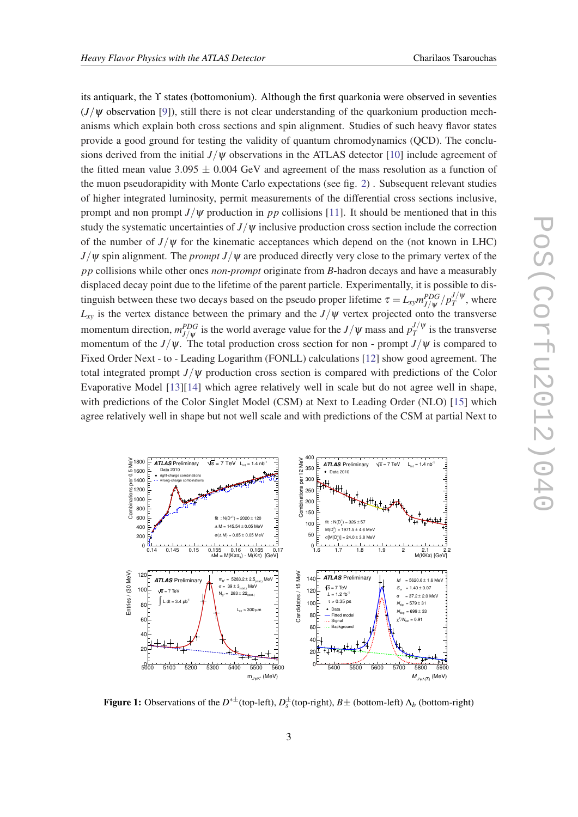<span id="page-2-0"></span>its antiquark, the ϒ states (bottomonium). Although the first quarkonia were observed in seventies  $(J/\psi)$  observation [\[9\]](#page-7-0)), still there is not clear understanding of the quarkonium production mechanisms which explain both cross sections and spin alignment. Studies of such heavy flavor states provide a good ground for testing the validity of quantum chromodynamics (QCD). The conclusions derived from the initial *J*/ψ observations in the ATLAS detector [\[10](#page-7-0)] include agreement of the fitted mean value 3.095  $\pm$  0.004 GeV and agreement of the mass resolution as a function of the muon pseudorapidity with Monte Carlo expectations (see fig. [2\)](#page-3-0) . Subsequent relevant studies of higher integrated luminosity, permit measurements of the differential cross sections inclusive, prompt and non prompt  $J/\psi$  production in *pp* collisions [\[11](#page-7-0)]. It should be mentioned that in this study the systematic uncertainties of  $J/\psi$  inclusive production cross section include the correction of the number of  $J/\psi$  for the kinematic acceptances which depend on the (not known in LHC)  $J/\psi$  spin alignment. The *prompt*  $J/\psi$  are produced directly very close to the primary vertex of the *pp* collisions while other ones *non-prompt* originate from *B*-hadron decays and have a measurably displaced decay point due to the lifetime of the parent particle. Experimentally, it is possible to distinguish between these two decays based on the pseudo proper lifetime  $\tau = L_{xy} m_{J/\psi}^{PDG} / p_T^{J/\psi}$  $T^{\prime\prime}$ <sup>*v*</sup>, where  $L_{xy}$  is the vertex distance between the primary and the  $J/\psi$  vertex projected onto the transverse momentum direction,  $m_{J/\psi}^{PDG}$  is the world average value for the  $J/\psi$  mass and  $p_T^{J/\psi}$  $T$ <sup> $J/\Psi$ </sup> is the transverse momentum of the *J*/ $\psi$ . The total production cross section for non - prompt *J*/ $\psi$  is compared to Fixed Order Next - to - Leading Logarithm (FONLL) calculations [\[12](#page-7-0)] show good agreement. The total integrated prompt  $J/\psi$  production cross section is compared with predictions of the Color Evaporative Model [[13\]](#page-7-0)[[14\]](#page-7-0) which agree relatively well in scale but do not agree well in shape, with predictions of the Color Singlet Model (CSM) at Next to Leading Order (NLO) [\[15](#page-7-0)] which agree relatively well in shape but not well scale and with predictions of the CSM at partial Next to



**Figure 1:** Observations of the  $D^{*\pm}$  (top-left),  $D_s^{\pm}$  (top-right),  $B\pm$  (bottom-left)  $\Lambda_b$  (bottom-right)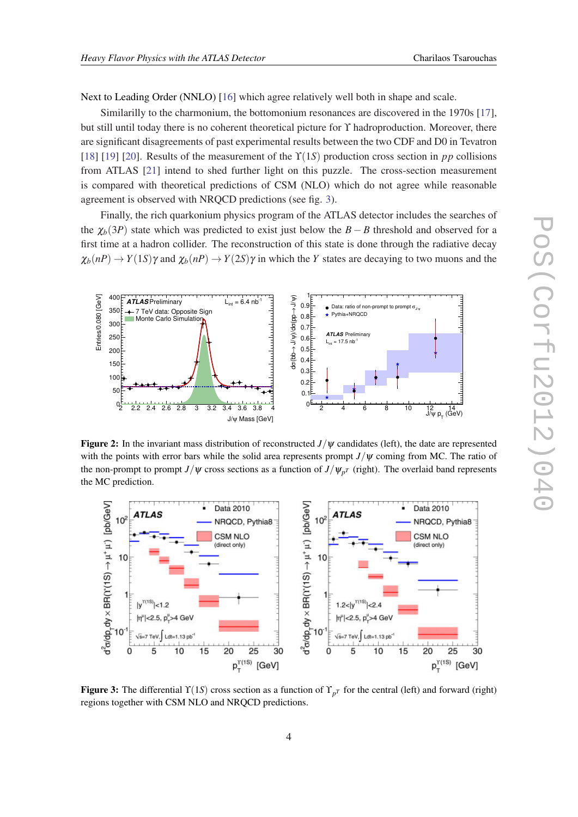<span id="page-3-0"></span>Next to Leading Order (NNLO) [[16\]](#page-7-0) which agree relatively well both in shape and scale.

Similarilly to the charmonium, the bottomonium resonances are discovered in the 1970s [[17\]](#page-7-0), but still until today there is no coherent theoretical picture for ϒ hadroproduction. Moreover, there are significant disagreements of past experimental results between the two CDF and D0 in Tevatron [[18\]](#page-7-0) [\[19](#page-7-0)] [\[20](#page-7-0)]. Results of the measurement of the  $\Upsilon(1S)$  production cross section in *pp* collisions from ATLAS [[21\]](#page-7-0) intend to shed further light on this puzzle. The cross-section measurement is compared with theoretical predictions of CSM (NLO) which do not agree while reasonable agreement is observed with NRQCD predictions (see fig. 3).

Finally, the rich quarkonium physics program of the ATLAS detector includes the searches of the  $\chi_b(3P)$  state which was predicted to exist just below the  $B - B$  threshold and observed for a first time at a hadron collider. The reconstruction of this state is done through the radiative decay  $\chi_b(nP) \to Y(1S)\gamma$  and  $\chi_b(nP) \to Y(2S)\gamma$  in which the *Y* states are decaying to two muons and the



Figure 2: In the invariant mass distribution of reconstructed *J*/ψ candidates (left), the date are represented with the points with error bars while the solid area represents prompt  $J/\psi$  coming from MC. The ratio of the non-prompt to prompt *J*/ $\psi$  cross sections as a function of *J*/ $\psi_{pT}$  (right). The overlaid band represents the MC prediction.



Figure 3: The differential  $\Upsilon(1S)$  cross section as a function of  $\Upsilon_{p^T}$  for the central (left) and forward (right) regions together with CSM NLO and NRQCD predictions.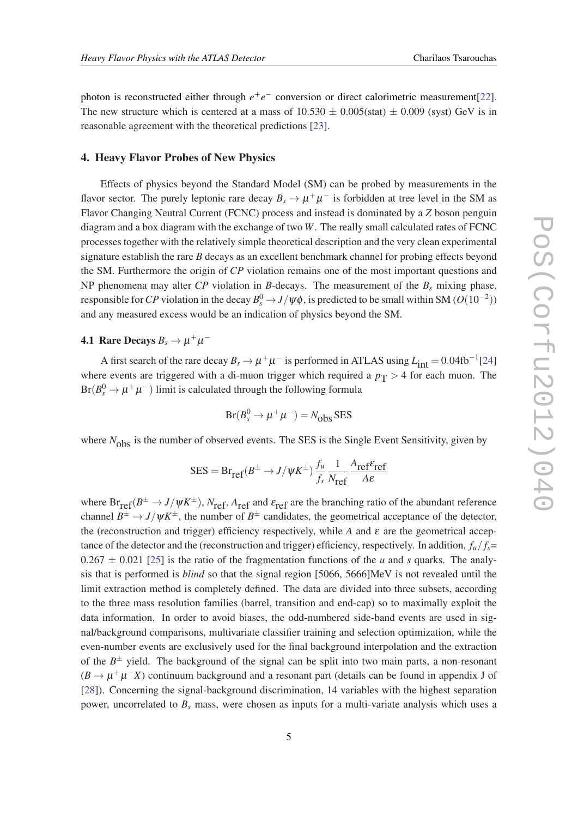photon is reconstructed either through  $e^+e^-$  conversion or direct calorimetric measurement[[22\]](#page-7-0). The new structure which is centered at a mass of  $10.530 \pm 0.005$  (stat)  $\pm 0.009$  (syst) GeV is in reasonable agreement with the theoretical predictions [[23\]](#page-7-0).

#### 4. Heavy Flavor Probes of New Physics

Effects of physics beyond the Standard Model (SM) can be probed by measurements in the flavor sector. The purely leptonic rare decay  $B_s \to \mu^+ \mu^-$  is forbidden at tree level in the SM as Flavor Changing Neutral Current (FCNC) process and instead is dominated by a *Z* boson penguin diagram and a box diagram with the exchange of two *W*. The really small calculated rates of FCNC processes together with the relatively simple theoretical description and the very clean experimental signature establish the rare *B* decays as an excellent benchmark channel for probing effects beyond the SM. Furthermore the origin of *CP* violation remains one of the most important questions and NP phenomena may alter *CP* violation in *B*-decays. The measurement of the *B<sup>s</sup>* mixing phase, responsible for *CP* violation in the decay  $B_s^0 \to J/\psi \phi$ , is predicted to be small within SM ( $O(10^{-2}))$ and any measured excess would be an indication of physics beyond the SM.

### **4.1 Rare Decays**  $B_s \to \mu^+\mu^-$

A first search of the rare decay  $B_s \to \mu^+\mu^-$  is performed in ATLAS using  $L_{\text{int}} = 0.04 \text{fb}^{-1}[24]$  $L_{\text{int}} = 0.04 \text{fb}^{-1}[24]$  $L_{\text{int}} = 0.04 \text{fb}^{-1}[24]$ where events are triggered with a di-muon trigger which required a  $p_T > 4$  for each muon. The  $Br(B_s^0 \to \mu^+ \mu^-)$  limit is calculated through the following formula

$$
Br(B_s^0 \to \mu^+ \mu^-) = N_{\rm obs} \, \text{SES}
$$

where  $N_{\text{obs}}$  is the number of observed events. The SES is the Single Event Sensitivity, given by

$$
SES = Br_{ref}(B^{\pm} \to J/\psi K^{\pm}) \frac{f_u}{f_s} \frac{1}{N_{ref}} \frac{A_{ref} \varepsilon_{ref}}{A \varepsilon}
$$

where  $Br_{ref}(B^{\pm} \to J/\psi K^{\pm})$ ,  $N_{ref}$ ,  $A_{ref}$  and  $\varepsilon_{ref}$  are the branching ratio of the abundant reference channel  $B^{\pm} \to J/\psi K^{\pm}$ , the number of  $B^{\pm}$  candidates, the geometrical acceptance of the detector, the (reconstruction and trigger) efficiency respectively, while *A* and  $\varepsilon$  are the geometrical acceptance of the detector and the (reconstruction and trigger) efficiency, respectively. In addition,  $f_u/f_s =$  $0.267 \pm 0.021$  [[25\]](#page-7-0) is the ratio of the fragmentation functions of the *u* and *s* quarks. The analysis that is performed is *blind* so that the signal region [5066, 5666]MeV is not revealed until the limit extraction method is completely defined. The data are divided into three subsets, according to the three mass resolution families (barrel, transition and end-cap) so to maximally exploit the data information. In order to avoid biases, the odd-numbered side-band events are used in signal/background comparisons, multivariate classifier training and selection optimization, while the even-number events are exclusively used for the final background interpolation and the extraction of the  $B^{\pm}$  yield. The background of the signal can be split into two main parts, a non-resonant  $(B \to \mu^+ \mu^- X)$  continuum background and a resonant part (details can be found in appendix J of [[28\]](#page-7-0)). Concerning the signal-background discrimination, 14 variables with the highest separation power, uncorrelated to *B<sup>s</sup>* mass, were chosen as inputs for a multi-variate analysis which uses a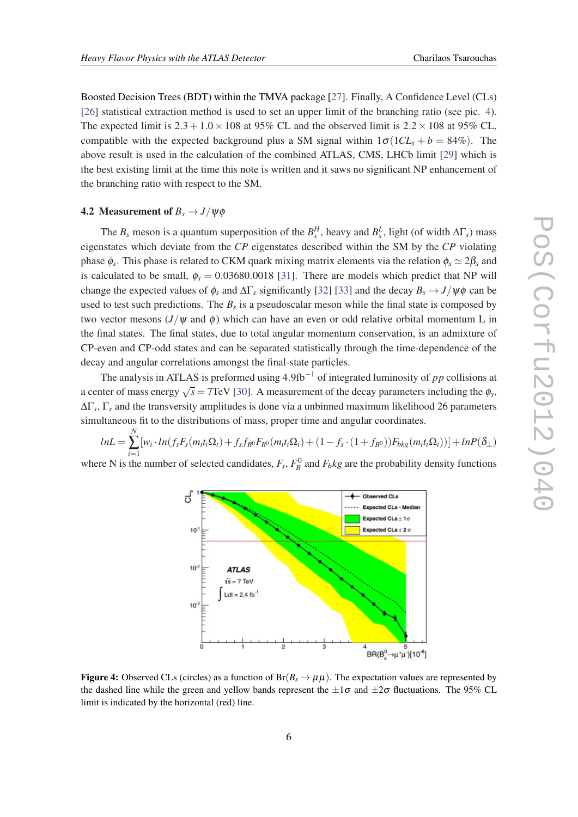Boosted Decision Trees (BDT) within the TMVA package [\[27](#page-7-0)]. Finally, A Confidence Level (CLs) [[26\]](#page-7-0) statistical extraction method is used to set an upper limit of the branching ratio (see pic. 4). The expected limit is  $2.3 + 1.0 \times 108$  at 95% CL and the observed limit is  $2.2 \times 108$  at 95% CL, compatible with the expected background plus a SM signal within  $1\sigma(1CL_s + b = 84\%)$ . The above result is used in the calculation of the combined ATLAS, CMS, LHCb limit [[29\]](#page-7-0) which is the best existing limit at the time this note is written and it saws no significant NP enhancement of the branching ratio with respect to the SM.

#### **4.2** Measurement of  $B_s \rightarrow J/\psi \phi$

The  $B_s$  meson is a quantum superposition of the  $B_s^H$ , heavy and  $B_s^L$ , light (of width  $\Delta\Gamma_s$ ) mass eigenstates which deviate from the *CP* eigenstates described within the SM by the *CP* violating phase  $\phi_s$ . This phase is related to CKM quark mixing matrix elements via the relation  $\phi_s \simeq 2\beta_s$  and is calculated to be small,  $\phi_s = 0.03680.0018$  [\[31](#page-8-0)]. There are models which predict that NP will change the expected values of  $\phi_s$  and  $\Delta\Gamma_s$  significantly [\[32](#page-8-0)] [\[33](#page-8-0)] and the decay  $B_s \to J/\psi \phi$  can be used to test such predictions. The  $B_s$  is a pseudoscalar meson while the final state is composed by two vector mesons ( $J/\psi$  and  $\phi$ ) which can have an even or odd relative orbital momentum L in the final states. The final states, due to total angular momentum conservation, is an admixture of CP-even and CP-odd states and can be separated statistically through the time-dependence of the decay and angular correlations amongst the final-state particles.

The analysis in ATLAS is preformed using 4.9fb−<sup>1</sup> of integrated luminosity of *pp* collisions at a center of mass energy  $\sqrt{s} = 7$ TeV [[30\]](#page-8-0). A measurement of the decay parameters including the  $\phi_s$ , ∆Γ*s* , Γ*<sup>s</sup>* and the transversity amplitudes is done via a unbinned maximum likelihood 26 parameters simultaneous fit to the distributions of mass, proper time and angular coordinates.

$$
lnL = \sum_{i=1}^{N} [w_i \cdot ln(f_s F_s(m_i t_i \Omega_i) + f_s f_{B^0} F_{B^0}(m_i t_i \Omega_i) + (1 - f_s \cdot (1 + f_{B^0})) F_{bkg}(m_i t_i \Omega_i))] + lnP(\delta_{\perp})
$$

where N is the number of selected candidates,  $F_s$ ,  $F_B^0$  and  $F_b$ *kg* are the probability density functions



**Figure 4:** Observed CLs (circles) as a function of  $Br(B_s \to \mu\mu)$ . The expectation values are represented by the dashed line while the green and yellow bands represent the  $\pm 1\sigma$  and  $\pm 2\sigma$  fluctuations. The 95% CL limit is indicated by the horizontal (red) line.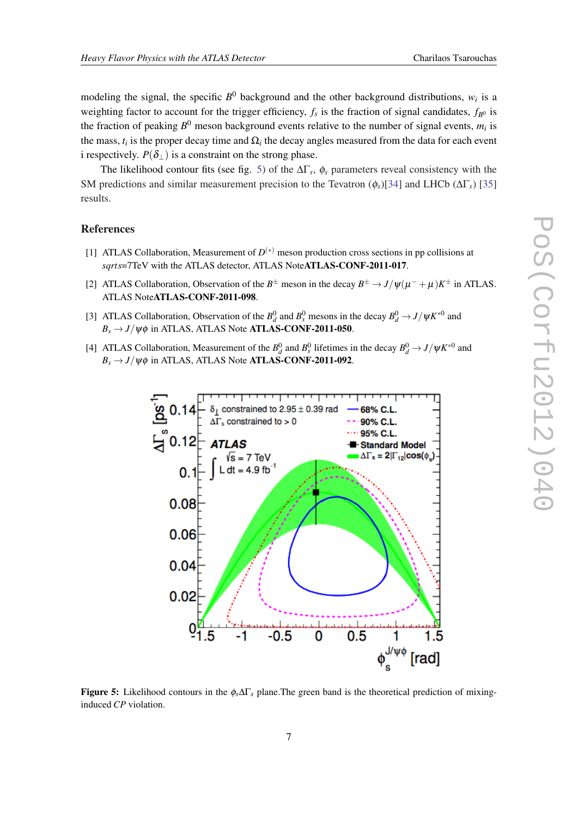<span id="page-6-0"></span>modeling the signal, the specific  $B^0$  background and the other background distributions,  $w_i$  is a weighting factor to account for the trigger efficiency,  $f_s$  is the fraction of signal candidates,  $f_{B^0}$  is the fraction of peaking  $B^0$  meson background events relative to the number of signal events,  $m_i$  is the mass,  $t_i$  is the proper decay time and  $\Omega_i$  the decay angles measured from the data for each event i respectively.  $P(\delta_{\perp})$  is a constraint on the strong phase.

The likelihood contour fits (see fig. 5) of the  $\Delta\Gamma_s$ ,  $\phi_s$  parameters reveal consistency with the SM predictions and similar measurement precision to the Tevatron (φ*s*)[[34\]](#page-8-0) and LHCb (∆Γ*s*) [\[35](#page-8-0)] results.

#### References

- [1] ATLAS Collaboration, Measurement of  $D^{(*)}$  meson production cross sections in pp collisions at *sqrts*=7TeV with the ATLAS detector, ATLAS NoteATLAS-CONF-2011-017.
- [2] ATLAS Collaboration, Observation of the  $B^{\pm}$  meson in the decay  $B^{\pm} \to J/\psi(\mu^- + \mu)K^{\pm}$  in ATLAS. ATLAS NoteATLAS-CONF-2011-098.
- [3] ATLAS Collaboration, Observation of the  $B_d^0$  and  $B_s^0$  mesons in the decay  $B_d^0 \to J/\psi K^{*0}$  and  $B_s \rightarrow J/\psi \phi$  in ATLAS, ATLAS Note **ATLAS-CONF-2011-050**.
- [4] ATLAS Collaboration, Measurement of the  $B_d^0$  and  $B_s^0$  lifetimes in the decay  $B_d^0 \to J/\psi K^{*0}$  and  $B_s \rightarrow J/\psi \phi$  in ATLAS, ATLAS Note **ATLAS-CONF-2011-092**.



Figure 5: Likelihood contours in the φ*s*∆Γ*<sup>s</sup>* plane.The green band is the theoretical prediction of mixinginduced *CP* violation.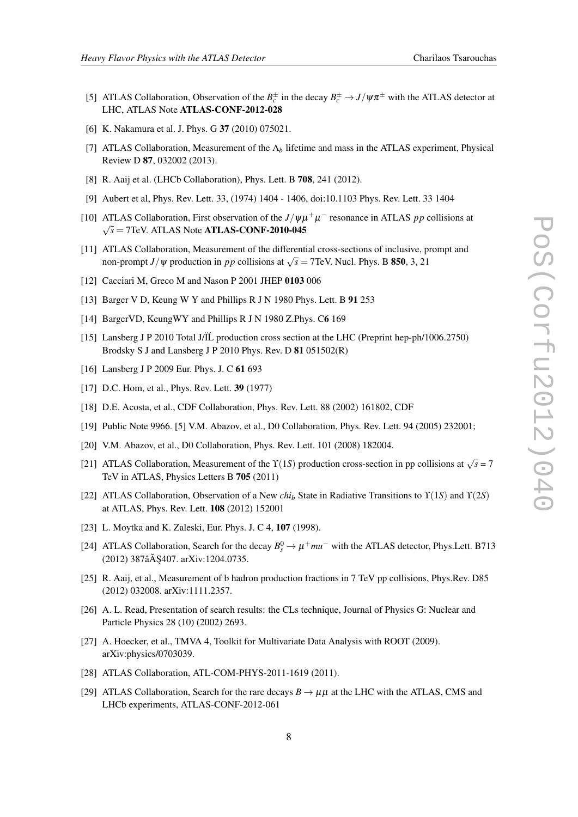- <span id="page-7-0"></span>[5] ATLAS Collaboration, Observation of the  $B_c^{\pm}$  in the decay  $B_c^{\pm} \to J/\psi \pi^{\pm}$  with the ATLAS detector at LHC, ATLAS Note ATLAS-CONF-2012-028
- [6] K. Nakamura et al. J. Phys. G 37 (2010) 075021.
- [7] ATLAS Collaboration, Measurement of the Λ*<sup>b</sup>* lifetime and mass in the ATLAS experiment, Physical Review D 87, 032002 (2013).
- [8] R. Aaij et al. (LHCb Collaboration), Phys. Lett. B **708**, 241 (2012).
- [9] Aubert et al, Phys. Rev. Lett. 33, (1974) 1404 1406, doi:10.1103 Phys. Rev. Lett. 33 1404
- [10] ATLAS Collaboration, First observation of the  $J/\psi \mu^+ \mu^-$  resonance in ATLAS *pp* collisions at  $\sqrt{s}$  = 7TeV. ATLAS Note **ATLAS-CONF-2010-045**
- [11] ATLAS Collaboration, Measurement of the differential cross-sections of inclusive, prompt and non-prompt *J*/ $\psi$  production in *pp* collisions at  $\sqrt{s} = 7$ TeV. Nucl. Phys. B **850**, 3, 21
- [12] Cacciari M, Greco M and Nason P 2001 JHEP 0103 006
- [13] Barger V D, Keung W Y and Phillips R J N 1980 Phys. Lett. B 91 253
- [14] BargerVD, KeungWY and Phillips R J N 1980 Z.Phys. C6 169]
- [15] Lansberg J P 2010 Total J/Ï´L production cross section at the LHC (Preprint hep-ph/1006.2750) Brodsky S J and Lansberg J P 2010 Phys. Rev. D 81 051502(R)
- [16] Lansberg J P 2009 Eur. Phys. J. C 61 693
- [17] D.C. Hom, et al., Phys. Rev. Lett. **39** (1977)
- [18] D.E. Acosta, et al., CDF Collaboration, Phys. Rev. Lett. 88 (2002) 161802, CDF
- [19] Public Note 9966. [5] V.M. Abazov, et al., D0 Collaboration, Phys. Rev. Lett. 94 (2005) 232001;
- [20] V.M. Abazov, et al., D0 Collaboration, Phys. Rev. Lett. 101 (2008) 182004.
- [21] ATLAS Collaboration, Measurement of the  $\Upsilon(1S)$  production cross-section in pp collisions at  $\sqrt{s} = 7$ TeV in ATLAS, Physics Letters B 705 (2011)
- [22] ATLAS Collaboration, Observation of a New *chi<sup>b</sup>* State in Radiative Transitions to ϒ(1*S*) and ϒ(2*S*) at ATLAS, Phys. Rev. Lett. 108 (2012) 152001
- [23] L. Moytka and K. Zaleski, Eur. Phys. J. C 4, 107 (1998).
- [24] ATLAS Collaboration, Search for the decay  $B_s^0 \to \mu^+ m u^-$  with the ATLAS detector, Phys.Lett. B713 (2012) 387âĂ \$407. arXiv:1204.0735.
- [25] R. Aaij, et al., Measurement of b hadron production fractions in 7 TeV pp collisions, Phys.Rev. D85 (2012) 032008. arXiv:1111.2357.
- [26] A. L. Read, Presentation of search results: the CLs technique, Journal of Physics G: Nuclear and Particle Physics 28 (10) (2002) 2693.
- [27] A. Hoecker, et al., TMVA 4, Toolkit for Multivariate Data Analysis with ROOT (2009). arXiv:physics/0703039.
- [28] ATLAS Collaboration, ATL-COM-PHYS-2011-1619 (2011).
- [29] ATLAS Collaboration, Search for the rare decays  $B \to \mu\mu$  at the LHC with the ATLAS, CMS and LHCb experiments, ATLAS-CONF-2012-061